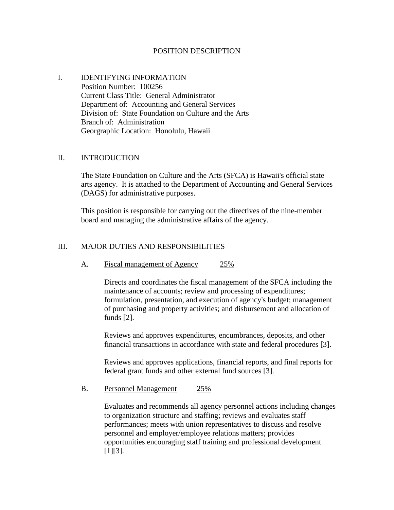#### POSITION DESCRIPTION

# I. IDENTIFYING INFORMATION Position Number: 100256 Current Class Title: General Administrator Department of: Accounting and General Services Division of: State Foundation on Culture and the Arts Branch of: Administration Georgraphic Location: Honolulu, Hawaii

#### II. INTRODUCTION

The State Foundation on Culture and the Arts (SFCA) is Hawaii's official state arts agency. It is attached to the Department of Accounting and General Services (DAGS) for administrative purposes.

This position is responsible for carrying out the directives of the nine-member board and managing the administrative affairs of the agency.

#### III. MAJOR DUTIES AND RESPONSIBILITIES

A. Fiscal management of Agency 25%

Directs and coordinates the fiscal management of the SFCA including the maintenance of accounts; review and processing of expenditures; formulation, presentation, and execution of agency's budget; management of purchasing and property activities; and disbursement and allocation of funds [2].

Reviews and approves expenditures, encumbrances, deposits, and other financial transactions in accordance with state and federal procedures [3].

Reviews and approves applications, financial reports, and final reports for federal grant funds and other external fund sources [3].

B. Personnel Management 25%

Evaluates and recommends all agency personnel actions including changes to organization structure and staffing; reviews and evaluates staff performances; meets with union representatives to discuss and resolve personnel and employer/employee relations matters; provides opportunities encouraging staff training and professional development [1][3].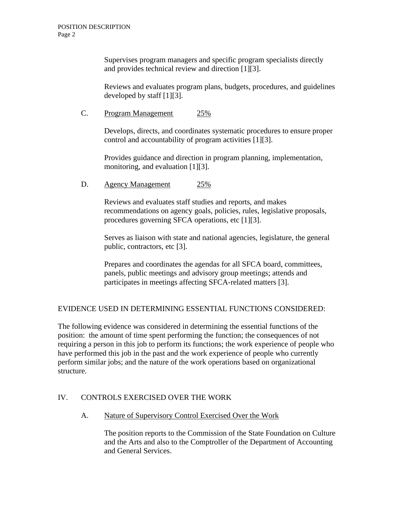Supervises program managers and specific program specialists directly and provides technical review and direction [1][3].

Reviews and evaluates program plans, budgets, procedures, and guidelines developed by staff [1][3].

C. Program Management 25%

Develops, directs, and coordinates systematic procedures to ensure proper control and accountability of program activities [1][3].

Provides guidance and direction in program planning, implementation, monitoring, and evaluation [1][3].

D. Agency Management 25%

Reviews and evaluates staff studies and reports, and makes recommendations on agency goals, policies, rules, legislative proposals, procedures governing SFCA operations, etc [1][3].

Serves as liaison with state and national agencies, legislature, the general public, contractors, etc [3].

Prepares and coordinates the agendas for all SFCA board, committees, panels, public meetings and advisory group meetings; attends and participates in meetings affecting SFCA-related matters [3].

# EVIDENCE USED IN DETERMINING ESSENTIAL FUNCTIONS CONSIDERED:

The following evidence was considered in determining the essential functions of the position: the amount of time spent performing the function; the consequences of not requiring a person in this job to perform its functions; the work experience of people who have performed this job in the past and the work experience of people who currently perform similar jobs; and the nature of the work operations based on organizational structure.

# IV. CONTROLS EXERCISED OVER THE WORK

A. Nature of Supervisory Control Exercised Over the Work

The position reports to the Commission of the State Foundation on Culture and the Arts and also to the Comptroller of the Department of Accounting and General Services.